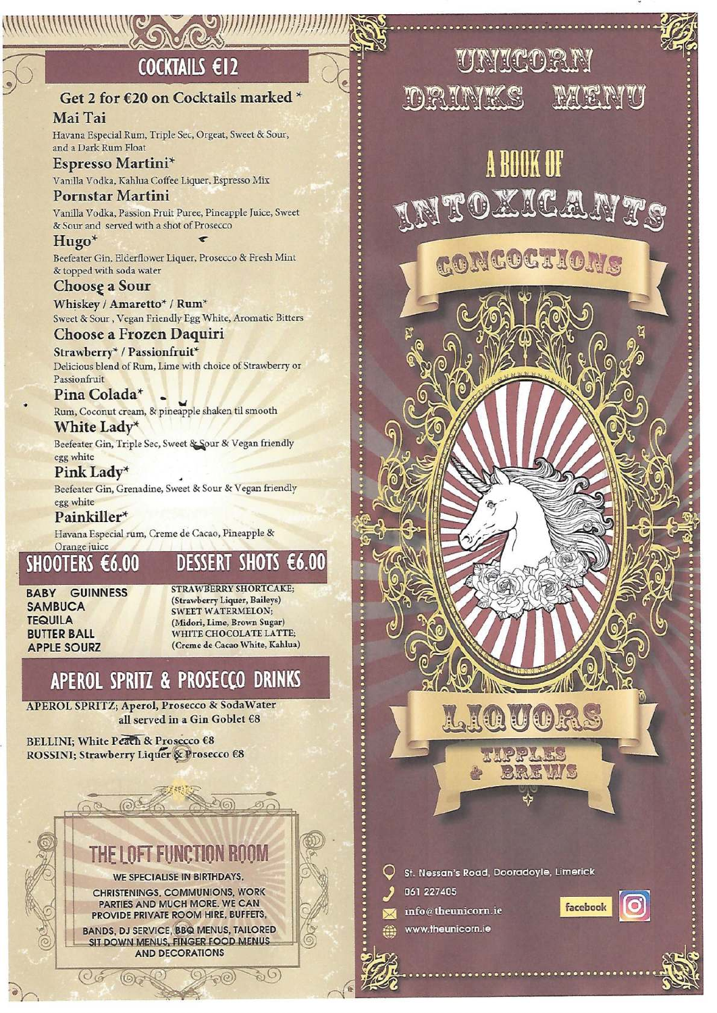# COCKTAILS €12

### Get 2 for €20 on Cocktails marked \*

Mai Tai Havana Especial Rum, Triple Sec, Orgeat, Sweet & Sour, and a Dark Rum Float

Espresso Martini\* Vanilla Vodka, Kahlua Coffee Liquer, Espresso Mix

### **Pornstar Martini**

Vanilla Vodka, Passion Fruit Puree, Pineapple Juice, Sweet & Sour and served with a shot of Prosecco

Hugo<sup>\*</sup> Beefeater Gin, Elderflower Liquer, Prosecco & Fresh Mint & topped with soda water

### Choose a Sour

Whiskey / Amaretto\* / Rum\* Sweet & Sour, Vegan Friendly Egg White, Aromatic Bitters

**Choose a Frozen Daquiri** 

Strawberry\* / Passionfruit\* Delicious blend of Rum, Lime with choice of Strawberry or Passionfruit

Pina Colada\* Rum, Coconut cream, & pineapple shaken til smooth

White Lady\* Beefeater Gin, Triple Sec, Sweet & Sour & Vegan friendly egg white

Pink Ladv\* Beefeater Gin, Grenadine, Sweet & Sour & Vegan friendly egg white

Painkiller\* Havana Especial rum, Creme de Cacao, Pineapple &

#### Orange juice SHOOTERS €6.00 **DESSERT SHOTS €6.00**

**BABY GUINNESS SAMBUCA TEQUILA BUTTER BALL APPLE SOURZ** 

**STRAWBERRY SHORTCAKE:** (Strawberry Liquer, Baileys) **SWEET WATERMELON;** (Midori, Lime, Brown Sugar) WHITE CHOCOLATE LATTE; (Creme de Cacao White, Kahlua)

# APEROL SPRITZ & PROSECCO DRINKS

APEROL SPRITZ; Aperol, Prosecco & SodaWater all served in a Gin Goblet €8

BELLINI; White Peach & Prosecco €8 ROSSINI; Strawberry Liquer & Prosecco €8



**BANDS, DJ SERVICE, BBQ MENUS, TAILORED** SIT DOWN MENUS, FINGER FOOD MENUS **AND DECORATIONS** 

 $(9) + 0$ 

 $Q_{\mathcal{F}}(0)$ 

 $\mathcal{O}(\mathcal{S})$